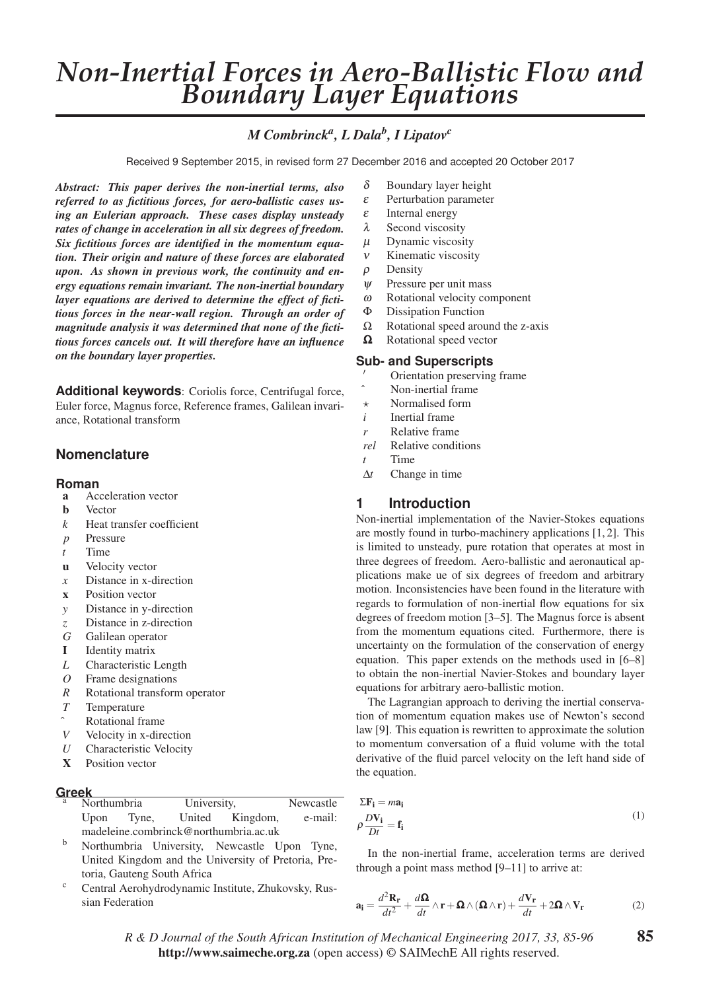# *Non-Inertial Forces in Aero-Ballistic Flow and Boundary Layer Equations*

# *M Combrincka, L Dalab, I Lipatovc*

Received 9 September 2015, in revised form 27 December 2016 and accepted 20 October 2017

*Abstract: This paper derives the non-inertial terms, also referred to as fictitious forces, for aero-ballistic cases using an Eulerian approach. These cases display unsteady rates of change in acceleration in all six degrees of freedom. Six fictitious forces are identified in the momentum equation. Their origin and nature of these forces are elaborated upon. As shown in previous work, the continuity and energy equations remain invariant. The non-inertial boundary layer equations are derived to determine the effect of fictitious forces in the near-wall region. Through an order of magnitude analysis it was determined that none of the fictitious forces cancels out. It will therefore have an influence on the boundary layer properties.*

**Additional keywords**: Coriolis force, Centrifugal force, Euler force, Magnus force, Reference frames, Galilean invariance, Rotational transform

# **Nomenclature**

### **Roman**

- a Acceleration vector
- **b** Vector
- *k* Heat transfer coefficient
- *p* Pressure
- *t* Time
- u Velocity vector
- *x* Distance in x-direction
- x Position vector
- *y* Distance in y-direction
- *z* Distance in z-direction
- *G* Galilean operator
- I Identity matrix
- *L* Characteristic Length
- *O* Frame designations
- *R* Rotational transform operator
- *T* Temperature
- Rotational frame
- *V* Velocity in x-direction
- *U* Characteristic Velocity
- X Position vector

| <b>Greek</b> |                                       |            |             |                 |           |
|--------------|---------------------------------------|------------|-------------|-----------------|-----------|
| а            | Northumbria                           |            | University, |                 | Newcastle |
|              |                                       | Upon Tyne, |             | United Kingdom, | e-mail:   |
|              | madeleine.combrinck@northumbria.ac.uk |            |             |                 |           |
|              |                                       |            |             |                 |           |

- <sup>b</sup> Northumbria University, Newcastle Upon Tyne, United Kingdom and the University of Pretoria, Pretoria, Gauteng South Africa
- <sup>c</sup> Central Aerohydrodynamic Institute, Zhukovsky, Russian Federation
- $\delta$  Boundary layer height
- ε Perturbation parameter
- $\epsilon$  Internal energy
- λ Second viscosity
- $\mu$  Dynamic viscosity
- ν Kinematic viscosity
- $\rho$  Density
- $\psi$  Pressure per unit mass
- ω Rotational velocity component
- Φ Dissipation Function
- $\Omega$  Rotational speed around the z-axis
- Ω Rotational speed vector

# **Sub- and Superscripts**

- - $\gamma$  Orientation preserving frame
- Non-inertial frame
- $\star$ Normalised form
- *i* Inertial frame
- *r* Relative frame
- *rel* Relative conditions
- *t* Time
- Δ*t* Change in time

# **1 Introduction**

Non-inertial implementation of the Navier-Stokes equations are mostly found in turbo-machinery applications [1, 2]. This is limited to unsteady, pure rotation that operates at most in three degrees of freedom. Aero-ballistic and aeronautical applications make ue of six degrees of freedom and arbitrary motion. Inconsistencies have been found in the literature with regards to formulation of non-inertial flow equations for six degrees of freedom motion [3–5]. The Magnus force is absent from the momentum equations cited. Furthermore, there is uncertainty on the formulation of the conservation of energy equation. This paper extends on the methods used in [6–8] to obtain the non-inertial Navier-Stokes and boundary layer equations for arbitrary aero-ballistic motion.

The Lagrangian approach to deriving the inertial conservation of momentum equation makes use of Newton's second law [9]. This equation is rewritten to approximate the solution to momentum conversation of a fluid volume with the total derivative of the fluid parcel velocity on the left hand side of the equation.

$$
\Sigma \mathbf{F_i} = m\mathbf{a_i}
$$
  
\n
$$
\rho \frac{D\mathbf{V_i}}{Dt} = \mathbf{f_i}
$$
\n(1)

In the non-inertial frame, acceleration terms are derived through a point mass method [9–11] to arrive at:

$$
\mathbf{a_i} = \frac{d^2 \mathbf{R_r}}{dt^2} + \frac{d\mathbf{\Omega}}{dt} \wedge \mathbf{r} + \mathbf{\Omega} \wedge (\mathbf{\Omega} \wedge \mathbf{r}) + \frac{d\mathbf{V_r}}{dt} + 2\mathbf{\Omega} \wedge \mathbf{V_r}
$$
 (2)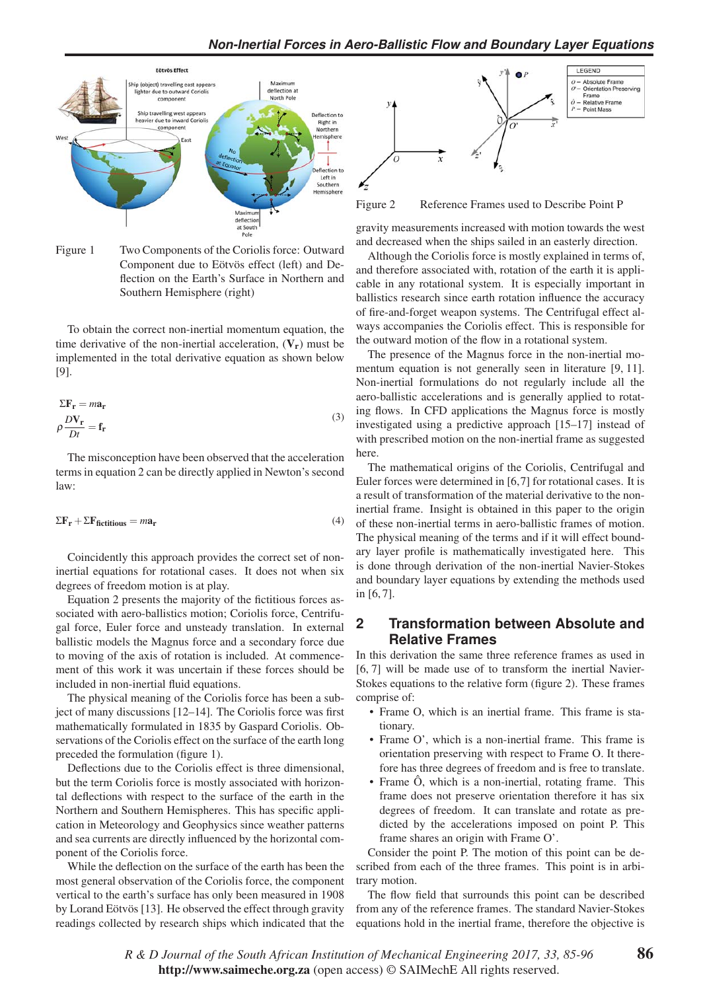

Figure 1 Two Components of the Coriolis force: Outward Component due to Eötvös effect (left) and Deflection on the Earth's Surface in Northern and Southern Hemisphere (right)

To obtain the correct non-inertial momentum equation, the time derivative of the non-inertial acceleration,  $(V_r)$  must be implemented in the total derivative equation as shown below [9].

$$
\Sigma \mathbf{F}_{\mathbf{r}} = m \mathbf{a}_{\mathbf{r}}
$$
  
\n
$$
\rho \frac{D \mathbf{V}_{\mathbf{r}}}{Dt} = \mathbf{f}_{\mathbf{r}}
$$
\n(3)

The misconception have been observed that the acceleration terms in equation 2 can be directly applied in Newton's second law:

$$
\Sigma \mathbf{F}_\mathbf{r} + \Sigma \mathbf{F}_{\text{fictitious}} = m \mathbf{a}_\mathbf{r} \tag{4}
$$

Coincidently this approach provides the correct set of noninertial equations for rotational cases. It does not when six degrees of freedom motion is at play.

Equation 2 presents the majority of the fictitious forces associated with aero-ballistics motion; Coriolis force, Centrifugal force, Euler force and unsteady translation. In external ballistic models the Magnus force and a secondary force due to moving of the axis of rotation is included. At commencement of this work it was uncertain if these forces should be included in non-inertial fluid equations.

The physical meaning of the Coriolis force has been a subject of many discussions [12–14]. The Coriolis force was first mathematically formulated in 1835 by Gaspard Coriolis. Observations of the Coriolis effect on the surface of the earth long preceded the formulation (figure 1).

Deflections due to the Coriolis effect is three dimensional, but the term Coriolis force is mostly associated with horizontal deflections with respect to the surface of the earth in the Northern and Southern Hemispheres. This has specific application in Meteorology and Geophysics since weather patterns and sea currents are directly influenced by the horizontal component of the Coriolis force.

While the deflection on the surface of the earth has been the most general observation of the Coriolis force, the component vertical to the earth's surface has only been measured in 1908 by Lorand Eötvös [13]. He observed the effect through gravity readings collected by research ships which indicated that the



Figure 2 Reference Frames used to Describe Point P

gravity measurements increased with motion towards the west and decreased when the ships sailed in an easterly direction.

Although the Coriolis force is mostly explained in terms of, and therefore associated with, rotation of the earth it is applicable in any rotational system. It is especially important in ballistics research since earth rotation influence the accuracy of fire-and-forget weapon systems. The Centrifugal effect always accompanies the Coriolis effect. This is responsible for the outward motion of the flow in a rotational system.

The presence of the Magnus force in the non-inertial momentum equation is not generally seen in literature [9, 11]. Non-inertial formulations do not regularly include all the aero-ballistic accelerations and is generally applied to rotating flows. In CFD applications the Magnus force is mostly investigated using a predictive approach [15–17] instead of with prescribed motion on the non-inertial frame as suggested here.

The mathematical origins of the Coriolis, Centrifugal and Euler forces were determined in [6,7] for rotational cases. It is a result of transformation of the material derivative to the noninertial frame. Insight is obtained in this paper to the origin of these non-inertial terms in aero-ballistic frames of motion. The physical meaning of the terms and if it will effect boundary layer profile is mathematically investigated here. This is done through derivation of the non-inertial Navier-Stokes and boundary layer equations by extending the methods used in [6, 7].

# **2 Transformation between Absolute and Relative Frames**

In this derivation the same three reference frames as used in [6, 7] will be made use of to transform the inertial Navier-Stokes equations to the relative form (figure 2). These frames comprise of:

- Frame O, which is an inertial frame. This frame is stationary.
- Frame O', which is a non-inertial frame. This frame is orientation preserving with respect to Frame O. It therefore has three degrees of freedom and is free to translate.
- Frame  $\ddot{O}$ , which is a non-inertial, rotating frame. This frame does not preserve orientation therefore it has six degrees of freedom. It can translate and rotate as predicted by the accelerations imposed on point P. This frame shares an origin with Frame O'.

Consider the point P. The motion of this point can be described from each of the three frames. This point is in arbitrary motion.

The flow field that surrounds this point can be described from any of the reference frames. The standard Navier-Stokes equations hold in the inertial frame, therefore the objective is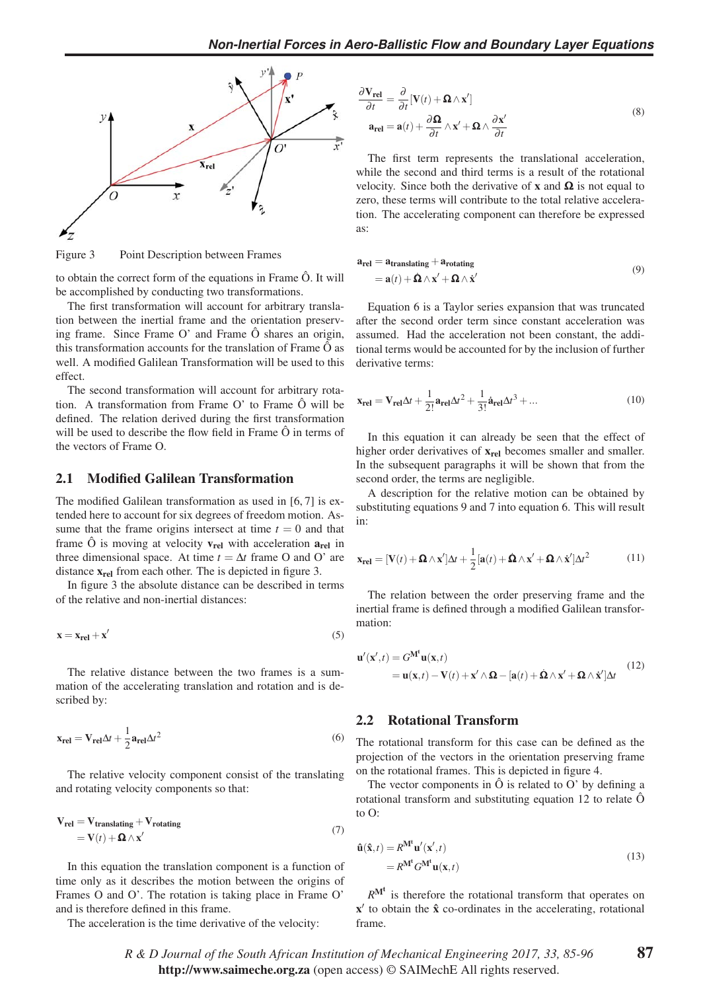

Figure 3 Point Description between Frames

to obtain the correct form of the equations in Frame Ô. It will be accomplished by conducting two transformations.

The first transformation will account for arbitrary translation between the inertial frame and the orientation preserving frame. Since Frame O' and Frame Ô shares an origin, this transformation accounts for the translation of Frame  $\hat{O}$  as well. A modified Galilean Transformation will be used to this effect.

The second transformation will account for arbitrary rotation. A transformation from Frame O' to Frame Ô will be defined. The relation derived during the first transformation will be used to describe the flow field in Frame  $\hat{O}$  in terms of the vectors of Frame O.

#### 2.1 Modified Galilean Transformation

The modified Galilean transformation as used in [6, 7] is extended here to account for six degrees of freedom motion. Assume that the frame origins intersect at time  $t = 0$  and that frame  $\hat{O}$  is moving at velocity  $v_{rel}$  with acceleration  $a_{rel}$  in three dimensional space. At time  $t = \Delta t$  frame O and O' are distance  $x_{rel}$  from each other. The is depicted in figure 3.

In figure 3 the absolute distance can be described in terms of the relative and non-inertial distances:

$$
\mathbf{x} = \mathbf{x}_{rel} + \mathbf{x}' \tag{5}
$$

The relative distance between the two frames is a summation of the accelerating translation and rotation and is described by:

$$
\mathbf{x}_{\text{rel}} = \mathbf{V}_{\text{rel}} \Delta t + \frac{1}{2} \mathbf{a}_{\text{rel}} \Delta t^2
$$
 (6)

The relative velocity component consist of the translating and rotating velocity components so that:

$$
\mathbf{V}_{\text{rel}} = \mathbf{V}_{\text{translating}} + \mathbf{V}_{\text{rotating}}
$$
  
=  $\mathbf{V}(t) + \mathbf{\Omega} \wedge \mathbf{x}'$  (7)

In this equation the translation component is a function of time only as it describes the motion between the origins of Frames O and O'. The rotation is taking place in Frame O' and is therefore defined in this frame.

The acceleration is the time derivative of the velocity:

$$
\frac{\partial \mathbf{V}_{rel}}{\partial t} = \frac{\partial}{\partial t} [\mathbf{V}(t) + \mathbf{\Omega} \wedge \mathbf{x}']
$$
  
\n
$$
\mathbf{a}_{rel} = \mathbf{a}(t) + \frac{\partial \mathbf{\Omega}}{\partial t} \wedge \mathbf{x}' + \mathbf{\Omega} \wedge \frac{\partial \mathbf{x}'}{\partial t}
$$
\n(8)

The first term represents the translational acceleration, while the second and third terms is a result of the rotational velocity. Since both the derivative of x and  $\Omega$  is not equal to zero, these terms will contribute to the total relative acceleration. The accelerating component can therefore be expressed as:

$$
\mathbf{a}_{\text{rel}} = \mathbf{a}_{\text{translating}} + \mathbf{a}_{\text{rotating}}
$$
  
=  $\mathbf{a}(t) + \mathbf{\Omega} \wedge \mathbf{x}' + \mathbf{\Omega} \wedge \mathbf{\dot{x}}'$  (9)

Equation 6 is a Taylor series expansion that was truncated after the second order term since constant acceleration was assumed. Had the acceleration not been constant, the additional terms would be accounted for by the inclusion of further derivative terms:

$$
\mathbf{x}_{\text{rel}} = \mathbf{V}_{\text{rel}}\Delta t + \frac{1}{2!}\mathbf{a}_{\text{rel}}\Delta t^2 + \frac{1}{3!}\dot{\mathbf{a}}_{\text{rel}}\Delta t^3 + \dots
$$
 (10)

In this equation it can already be seen that the effect of higher order derivatives of  $x_{rel}$  becomes smaller and smaller. In the subsequent paragraphs it will be shown that from the second order, the terms are negligible.

A description for the relative motion can be obtained by substituting equations 9 and 7 into equation 6. This will result in:

$$
\mathbf{x}_{rel} = [\mathbf{V}(t) + \mathbf{\Omega} \wedge \mathbf{x}'] \Delta t + \frac{1}{2} [\mathbf{a}(t) + \mathbf{\Omega} \wedge \mathbf{x}' + \mathbf{\Omega} \wedge \mathbf{x}'] \Delta t^2 \tag{11}
$$

The relation between the order preserving frame and the inertial frame is defined through a modified Galilean transformation:

$$
\mathbf{u}'(\mathbf{x}',t) = G^{\mathbf{M}^t} \mathbf{u}(\mathbf{x},t)
$$
  
=  $\mathbf{u}(\mathbf{x},t) - \mathbf{V}(t) + \mathbf{x}' \wedge \mathbf{\Omega} - [\mathbf{a}(t) + \mathbf{\Omega} \wedge \mathbf{x}' + \mathbf{\Omega} \wedge \mathbf{\dot{x}}'] \Delta t$  (12)

#### 2.2 Rotational Transform

The rotational transform for this case can be defined as the projection of the vectors in the orientation preserving frame on the rotational frames. This is depicted in figure 4.

The vector components in  $\ddot{O}$  is related to  $O'$  by defining a rotational transform and substituting equation 12 to relate Ô to O:

$$
\hat{\mathbf{u}}(\hat{\mathbf{x}},t) = R^{\mathbf{M}^{\mathbf{t}}} \mathbf{u}'(\mathbf{x}',t) \n= R^{\mathbf{M}^{\mathbf{t}}} G^{\mathbf{M}^{\mathbf{t}}} \mathbf{u}(\mathbf{x},t)
$$
\n(13)

 $R^{M<sup>t</sup>}$  is therefore the rotational transform that operates on  $x'$  to obtain the  $\hat{x}$  co-ordinates in the accelerating, rotational frame.

*R&DJournal of the South African Institution of Mechanical Engineering 2017, 33, 85-96* http://www.saimeche.org.za (open access) © SAIMechE All rights reserved.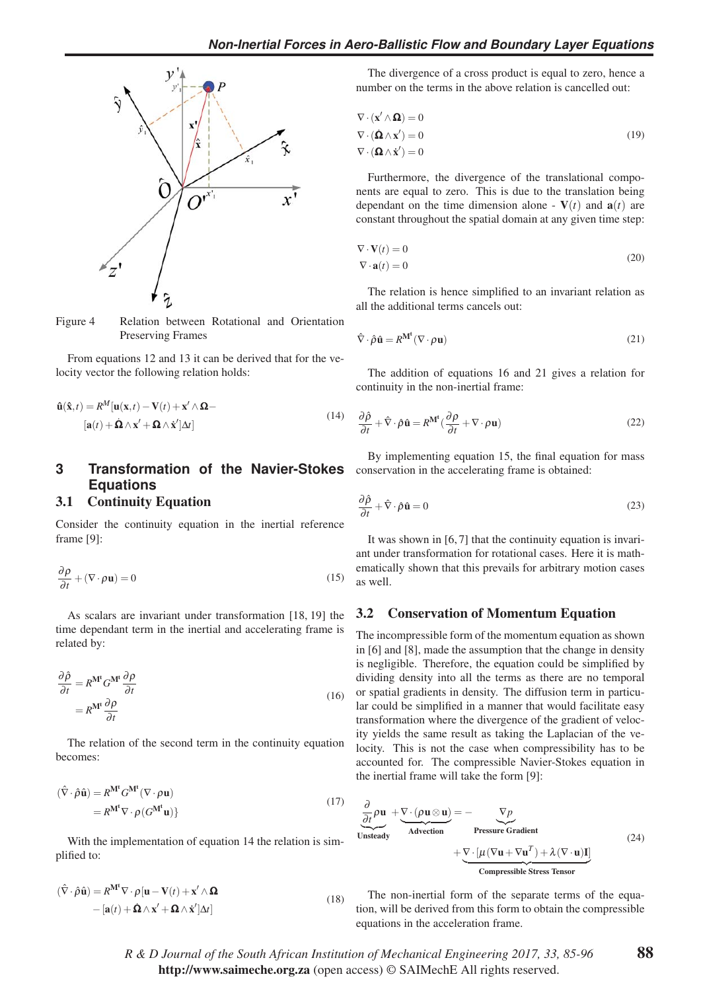

Figure 4 Relation between Rotational and Orientation Preserving Frames

From equations 12 and 13 it can be derived that for the velocity vector the following relation holds:

$$
\hat{\mathbf{u}}(\hat{\mathbf{x}},t) = R^M[\mathbf{u}(\mathbf{x},t) - \mathbf{V}(t) + \mathbf{x}' \wedge \mathbf{\Omega} -
$$
  
[ $\mathbf{a}(t) + \dot{\mathbf{\Omega}} \wedge \mathbf{x}' + \mathbf{\Omega} \wedge \dot{\mathbf{x}}'] \Delta t]$  (14)

# **3** Transformation of the Navier-Stokes conservation in the accelerating frame is obtained: **Equations**

#### 3.1 Continuity Equation

Consider the continuity equation in the inertial reference frame [9]:

$$
\frac{\partial \rho}{\partial t} + (\nabla \cdot \rho \mathbf{u}) = 0 \tag{15}
$$

As scalars are invariant under transformation [18, 19] the time dependant term in the inertial and accelerating frame is related by:

$$
\frac{\partial \hat{\rho}}{\partial t} = R^{\mathbf{M}^t} G^{\mathbf{M}^t} \frac{\partial \rho}{\partial t}
$$
  
=  $R^{\mathbf{M}^t} \frac{\partial \rho}{\partial t}$  (16)

The relation of the second term in the continuity equation becomes:

$$
(\hat{\nabla} \cdot \hat{\rho} \hat{\mathbf{u}}) = R^{\mathbf{M}^t} G^{\mathbf{M}^t} (\nabla \cdot \rho \mathbf{u})
$$
  
=  $R^{\mathbf{M}^t} \nabla \cdot \rho (G^{\mathbf{M}^t} \mathbf{u})$  (17)

With the implementation of equation 14 the relation is simplified to:

$$
(\hat{\nabla} \cdot \hat{\rho} \hat{\mathbf{u}}) = R^{\mathbf{M}^t} \nabla \cdot \rho [\mathbf{u} - \mathbf{V}(t) + \mathbf{x}' \wedge \mathbf{\Omega} - [\mathbf{a}(t) + \hat{\mathbf{\Omega}} \wedge \mathbf{x}' + \mathbf{\Omega} \wedge \dot{\mathbf{x}}'] \Delta t]
$$
(18)

The divergence of a cross product is equal to zero, hence a number on the terms in the above relation is cancelled out:

$$
\nabla \cdot (\mathbf{x}' \wedge \mathbf{\Omega}) = 0
$$
  
\n
$$
\nabla \cdot (\mathbf{\Omega} \wedge \mathbf{x}') = 0
$$
  
\n
$$
\nabla \cdot (\mathbf{\Omega} \wedge \mathbf{x}') = 0
$$
\n(19)

Furthermore, the divergence of the translational components are equal to zero. This is due to the translation being dependant on the time dimension alone -  $V(t)$  and  $a(t)$  are constant throughout the spatial domain at any given time step:

$$
\nabla \cdot \mathbf{V}(t) = 0
$$
  
\n
$$
\nabla \cdot \mathbf{a}(t) = 0
$$
\n(20)

The relation is hence simplified to an invariant relation as all the additional terms cancels out:

$$
\hat{\nabla} \cdot \hat{\rho} \hat{\mathbf{u}} = R^{\mathbf{M}^t} (\nabla \cdot \rho \mathbf{u})
$$
\n(21)

The addition of equations 16 and 21 gives a relation for continuity in the non-inertial frame:

$$
\frac{\partial \hat{\rho}}{\partial t} + \hat{\nabla} \cdot \hat{\rho} \hat{\mathbf{u}} = R^{\mathbf{M}^t} (\frac{\partial \rho}{\partial t} + \nabla \cdot \rho \mathbf{u})
$$
(22)

By implementing equation 15, the final equation for mass

$$
\frac{\partial \hat{\rho}}{\partial t} + \hat{\nabla} \cdot \hat{\rho} \hat{\mathbf{u}} = 0 \tag{23}
$$

It was shown in [6,7] that the continuity equation is invariant under transformation for rotational cases. Here it is mathematically shown that this prevails for arbitrary motion cases as well.

#### 3.2 Conservation of Momentum Equation

The incompressible form of the momentum equation as shown in [6] and [8], made the assumption that the change in density is negligible. Therefore, the equation could be simplified by dividing density into all the terms as there are no temporal or spatial gradients in density. The diffusion term in particular could be simplified in a manner that would facilitate easy transformation where the divergence of the gradient of velocity yields the same result as taking the Laplacian of the velocity. This is not the case when compressibility has to be accounted for. The compressible Navier-Stokes equation in the inertial frame will take the form [9]:

$$
\frac{\partial}{\partial t} \rho \mathbf{u} + \nabla \cdot (\rho \mathbf{u} \otimes \mathbf{u}) = -\n\begin{array}{c}\n\nabla p \\
\hline\n\text{Unsteady} \\
\end{array}\n\text{Pressive Gradient}\n\tag{24}
$$
\n
$$
+\n\frac{\nabla \cdot [\mu (\nabla \mathbf{u} + \nabla \mathbf{u}^T) + \lambda (\nabla \cdot \mathbf{u}) \mathbf{I}]}{\text{Compressible Stress Tensor}}
$$

The non-inertial form of the separate terms of the equation, will be derived from this form to obtain the compressible equations in the acceleration frame.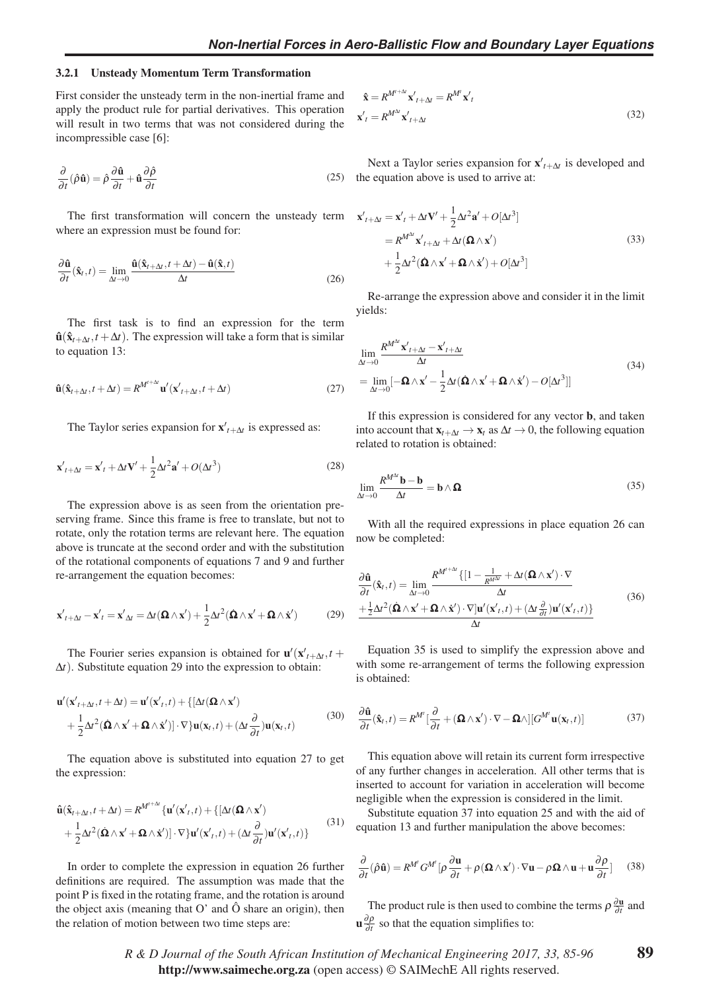#### 3.2.1 Unsteady Momentum Term Transformation

First consider the unsteady term in the non-inertial frame and apply the product rule for partial derivatives. This operation will result in two terms that was not considered during the incompressible case [6]:

$$
\frac{\partial}{\partial t}(\hat{\rho}\hat{\mathbf{u}}) = \hat{\rho}\frac{\partial \hat{\mathbf{u}}}{\partial t} + \hat{\mathbf{u}}\frac{\partial \hat{\rho}}{\partial t}
$$
(25)

The first transformation will concern the unsteady term  $\mathbf{x}'$ where an expression must be found for:

$$
\frac{\partial \hat{\mathbf{u}}}{\partial t}(\hat{\mathbf{x}}_t, t) = \lim_{\Delta t \to 0} \frac{\hat{\mathbf{u}}(\hat{\mathbf{x}}_{t+\Delta t}, t + \Delta t) - \hat{\mathbf{u}}(\hat{\mathbf{x}}, t)}{\Delta t}
$$
(26)

The first task is to find an expression for the term  $\hat{\mathbf{u}}(\hat{\mathbf{x}}_{t+\Delta t}, t + \Delta t)$ . The expression will take a form that is similar to equation 13:

$$
\hat{\mathbf{u}}(\hat{\mathbf{x}}_{t+\Delta t}, t+\Delta t) = R^{M^{t+\Delta t}} \mathbf{u}'(\mathbf{x}'_{t+\Delta t}, t+\Delta t)
$$
\n(27)

The Taylor series expansion for  $\mathbf{x}'_{t+\Delta t}$  is expressed as:

$$
\mathbf{x}'_{t+\Delta t} = \mathbf{x}'_t + \Delta t \mathbf{V}' + \frac{1}{2} \Delta t^2 \mathbf{a}' + O(\Delta t^3)
$$
 (28)

The expression above is as seen from the orientation preserving frame. Since this frame is free to translate, but not to rotate, only the rotation terms are relevant here. The equation above is truncate at the second order and with the substitution of the rotational components of equations 7 and 9 and further re-arrangement the equation becomes:

$$
\mathbf{x}'_{t+\Delta t} - \mathbf{x}'_t = \mathbf{x}'_{\Delta t} = \Delta t (\mathbf{\Omega} \wedge \mathbf{x}') + \frac{1}{2} \Delta t^2 (\mathbf{\Omega} \wedge \mathbf{x}' + \mathbf{\Omega} \wedge \mathbf{x}') \tag{29}
$$

The Fourier series expansion is obtained for  $\mathbf{u}'(\mathbf{x}'_{t+\Delta t}, t +$ Δ*t*). Substitute equation 29 into the expression to obtain:

$$
\mathbf{u}'(\mathbf{x}'_{t+\Delta t}, t+\Delta t) = \mathbf{u}'(\mathbf{x}'_{t}, t) + \{[\Delta t(\mathbf{\Omega} \wedge \mathbf{x}') + \frac{1}{2}\Delta t^2(\mathbf{\Omega} \wedge \mathbf{x}' + \mathbf{\Omega} \wedge \mathbf{x}')] \cdot \nabla\} \mathbf{u}(\mathbf{x}_t, t) + (\Delta t \frac{\partial}{\partial t}) \mathbf{u}(\mathbf{x}_t, t)
$$
(30)

The equation above is substituted into equation 27 to get the expression:

$$
\hat{\mathbf{u}}(\hat{\mathbf{x}}_{t+\Delta t}, t+\Delta t) = R^{M^{t+\Delta t}} \{ \mathbf{u}'(\mathbf{x}', t) + \{ [\Delta t (\mathbf{\Omega} \wedge \mathbf{x}')\n+ \frac{1}{2} \Delta t^2 (\mathbf{\Omega} \wedge \mathbf{x}' + \mathbf{\Omega} \wedge \mathbf{x}')] \cdot \nabla \} \mathbf{u}'(\mathbf{x}', t) + (\Delta t \frac{\partial}{\partial t}) \mathbf{u}'(\mathbf{x}', t)\n\}
$$
\n(31)

In order to complete the expression in equation 26 further definitions are required. The assumption was made that the point P is fixed in the rotating frame, and the rotation is around the object axis (meaning that  $O'$  and  $\hat{O}$  share an origin), then the relation of motion between two time steps are:

$$
\hat{\mathbf{x}} = R^{M^{t+\Delta t}} \mathbf{x'}_{t+\Delta t} = R^{M^t} \mathbf{x'}_t
$$
  

$$
\mathbf{x'}_t = R^{M^{\Delta t}} \mathbf{x'}_{t+\Delta t}
$$
 (32)

Next a Taylor series expansion for  $\mathbf{x}'_{t+\Delta t}$  is developed and the equation above is used to arrive at:

$$
x'_{t+\Delta t} = \mathbf{x}'_t + \Delta t \mathbf{V}' + \frac{1}{2} \Delta t^2 \mathbf{a}' + O[\Delta t^3]
$$
  
=  $R^{M^{\Delta t}} \mathbf{x}'_{t+\Delta t} + \Delta t (\mathbf{\Omega} \wedge \mathbf{x}')$   
+  $\frac{1}{2} \Delta t^2 (\mathbf{\Omega} \wedge \mathbf{x}' + \mathbf{\Omega} \wedge \mathbf{x}') + O[\Delta t^3]$  (33)

Re-arrange the expression above and consider it in the limit yields:

$$
\lim_{\Delta t \to 0} \frac{R^{M^{\Delta t}} \mathbf{x}'_{t + \Delta t} - \mathbf{x}'_{t + \Delta t}}{\Delta t}
$$
\n
$$
= \lim_{\Delta t \to 0} \left[ -\mathbf{\Omega} \wedge \mathbf{x}' - \frac{1}{2} \Delta t (\mathbf{\Omega} \wedge \mathbf{x}' + \mathbf{\Omega} \wedge \mathbf{x}') - O[\Delta t^3] \right]
$$
\n(34)

If this expression is considered for any vector b, and taken into account that  $\mathbf{x}_{t+\Delta t} \to \mathbf{x}_t$  as  $\Delta t \to 0$ , the following equation related to rotation is obtained:

$$
\lim_{\Delta t \to 0} \frac{R^{M^{\Delta t}} \mathbf{b} - \mathbf{b}}{\Delta t} = \mathbf{b} \wedge \mathbf{\Omega}
$$
\n(35)

With all the required expressions in place equation 26 can now be completed:

$$
\frac{\partial \hat{\mathbf{u}}}{\partial t}(\hat{\mathbf{x}}_t, t) = \lim_{\Delta t \to 0} \frac{R^{M^{t + \Delta t}} \{ [1 - \frac{1}{R^{M^{\Delta t}}} + \Delta t (\mathbf{\Omega} \wedge \mathbf{x}') \cdot \nabla \mathbf{x} \} + \frac{1}{2} \Delta t^2 (\hat{\mathbf{\Omega}} \wedge \mathbf{x}' + \mathbf{\Omega} \wedge \dot{\mathbf{x}}') \cdot \nabla ] \mathbf{u}'(\mathbf{x}'_t, t) + (\Delta t \frac{\partial}{\partial t}) \mathbf{u}'(\mathbf{x}'_t, t) \} \Delta t
$$
\n(36)

Equation 35 is used to simplify the expression above and with some re-arrangement of terms the following expression is obtained:

$$
\frac{\partial \hat{\mathbf{u}}}{\partial t}(\hat{\mathbf{x}}_t, t) = R^{M'} \left[ \frac{\partial}{\partial t} + (\mathbf{\Omega} \wedge \mathbf{x}') \cdot \nabla - \mathbf{\Omega} \wedge \right] \left[ G^{M'} \mathbf{u}(\mathbf{x}_t, t) \right]
$$
(37)

This equation above will retain its current form irrespective of any further changes in acceleration. All other terms that is inserted to account for variation in acceleration will become negligible when the expression is considered in the limit.

Substitute equation 37 into equation 25 and with the aid of equation 13 and further manipulation the above becomes:

$$
\frac{\partial}{\partial t}(\hat{\rho}\hat{\mathbf{u}}) = R^{M'}G^{M'}[\rho \frac{\partial \mathbf{u}}{\partial t} + \rho(\mathbf{\Omega} \wedge \mathbf{x}') \cdot \nabla \mathbf{u} - \rho \mathbf{\Omega} \wedge \mathbf{u} + \mathbf{u}\frac{\partial \rho}{\partial t}] \tag{38}
$$

The product rule is then used to combine the terms  $\rho \frac{\partial \mathbf{u}}{\partial t}$  and  $\mathbf{u} \frac{\partial \rho}{\partial t}$  so that the equation simplifies to: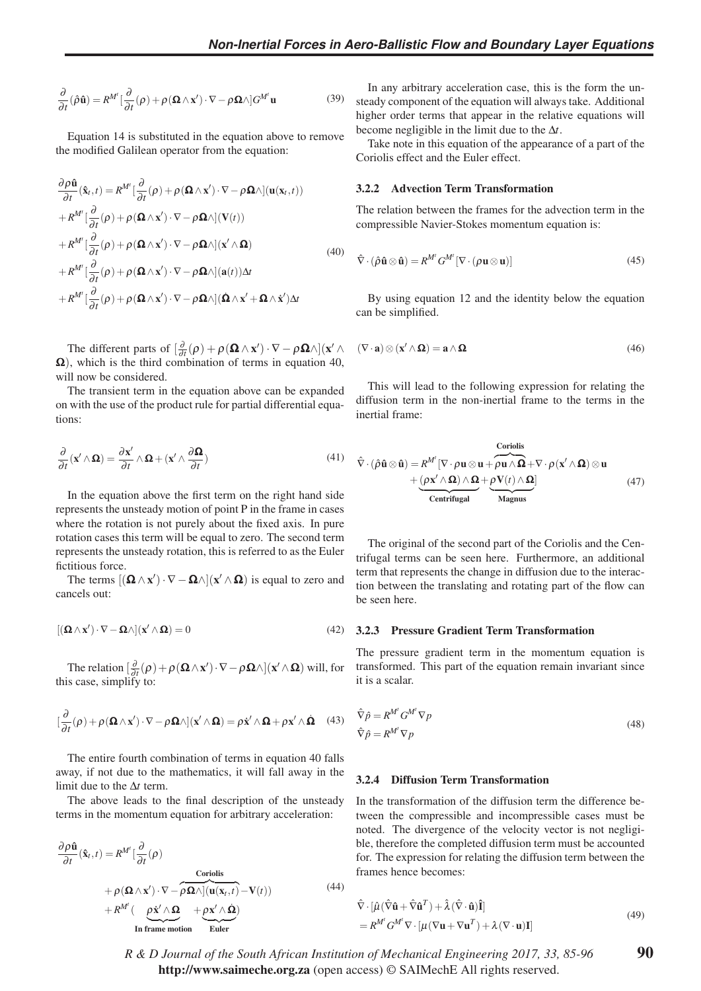$$
\frac{\partial}{\partial t}(\hat{\rho}\hat{\mathbf{u}}) = R^{M'} \left[ \frac{\partial}{\partial t}(\rho) + \rho (\mathbf{\Omega} \wedge \mathbf{x}') \cdot \nabla - \rho \mathbf{\Omega} \wedge \right] G^{M'} \mathbf{u}
$$
(39)

Equation 14 is substituted in the equation above to remove the modified Galilean operator from the equation:

$$
\frac{\partial \rho \hat{\mathbf{u}}}{\partial t}(\hat{\mathbf{x}}_t, t) = R^{M'} \left[ \frac{\partial}{\partial t} (\rho) + \rho (\mathbf{\Omega} \wedge \mathbf{x}') \cdot \nabla - \rho \mathbf{\Omega} \wedge \right] (\mathbf{u}(\mathbf{x}_t, t))
$$
\n
$$
+ R^{M'} \left[ \frac{\partial}{\partial t} (\rho) + \rho (\mathbf{\Omega} \wedge \mathbf{x}') \cdot \nabla - \rho \mathbf{\Omega} \wedge \right] (\mathbf{V}(t))
$$
\n
$$
+ R^{M'} \left[ \frac{\partial}{\partial t} (\rho) + \rho (\mathbf{\Omega} \wedge \mathbf{x}') \cdot \nabla - \rho \mathbf{\Omega} \wedge \right] (\mathbf{x}' \wedge \mathbf{\Omega})
$$
\n
$$
+ R^{M'} \left[ \frac{\partial}{\partial t} (\rho) + \rho (\mathbf{\Omega} \wedge \mathbf{x}') \cdot \nabla - \rho \mathbf{\Omega} \wedge \right] (\mathbf{a}(t)) \Delta t
$$
\n
$$
+ R^{M'} \left[ \frac{\partial}{\partial t} (\rho) + \rho (\mathbf{\Omega} \wedge \mathbf{x}') \cdot \nabla - \rho \mathbf{\Omega} \wedge \right] (\mathbf{\Omega} \wedge \mathbf{x}' + \mathbf{\Omega} \wedge \mathbf{x}') \Delta t
$$
\n(40)

The different parts of  $\left[\frac{\partial}{\partial t}(\rho) + \rho(\mathbf{\Omega} \wedge \mathbf{x}') \cdot \nabla - \rho \mathbf{\Omega} \wedge\right](\mathbf{x}' \wedge \mathbf{x}')$  $\Omega$ ), which is the third combination of terms in equation 40, will now be considered.

The transient term in the equation above can be expanded on with the use of the product rule for partial differential equations:

$$
\frac{\partial}{\partial t}(\mathbf{x}' \wedge \mathbf{\Omega}) = \frac{\partial \mathbf{x}'}{\partial t} \wedge \mathbf{\Omega} + (\mathbf{x}' \wedge \frac{\partial \mathbf{\Omega}}{\partial t})
$$
(41)

In the equation above the first term on the right hand side represents the unsteady motion of point P in the frame in cases where the rotation is not purely about the fixed axis. In pure rotation cases this term will be equal to zero. The second term represents the unsteady rotation, this is referred to as the Euler fictitious force.

The terms  $[(\mathbf{\Omega} \wedge \mathbf{x}') \cdot \nabla - \mathbf{\Omega} \wedge ](\mathbf{x}' \wedge \mathbf{\Omega})$  is equal to zero and cancels out:

$$
[(\mathbf{\Omega} \wedge \mathbf{x}') \cdot \nabla - \mathbf{\Omega} \wedge ](\mathbf{x}' \wedge \mathbf{\Omega}) = 0 \tag{42}
$$

The relation  $\left[\frac{\partial}{\partial t}(\rho) + \rho (\mathbf{\Omega} \wedge \mathbf{x}') \cdot \nabla - \rho \mathbf{\Omega} \wedge \right] (\mathbf{x}' \wedge \mathbf{\Omega})$  will, for this case, simplify to:

$$
\left[\frac{\partial}{\partial t}(\rho) + \rho(\mathbf{\Omega} \wedge \mathbf{x}') \cdot \nabla - \rho \mathbf{\Omega} \wedge \right] (\mathbf{x}' \wedge \mathbf{\Omega}) = \rho \dot{\mathbf{x}}' \wedge \mathbf{\Omega} + \rho \mathbf{x}' \wedge \dot{\mathbf{\Omega}} \quad (43)
$$

The entire fourth combination of terms in equation 40 falls away, if not due to the mathematics, it will fall away in the limit due to the Δ*t* term.

The above leads to the final description of the unsteady terms in the momentum equation for arbitrary acceleration:

$$
\frac{\partial \rho \hat{\mathbf{n}}}{\partial t}(\hat{\mathbf{x}}_t, t) = R^{M'} \left[ \frac{\partial}{\partial t} (\rho) \right]
$$
  
Coriolis  
+  $\rho (\mathbf{\Omega} \wedge \mathbf{x}') \cdot \nabla - \rho \mathbf{\Omega} \wedge \left[ \mathbf{u}(\mathbf{x}_t, t) - \mathbf{V}(t) \right]$   
+  $R^{M'} \left( \underbrace{\rho \dot{\mathbf{x}}' \wedge \mathbf{\Omega}}_{\text{In frame motion}} + \underbrace{\rho \mathbf{x}' \wedge \dot{\mathbf{\Omega}}}_{\text{Euler}} \right)$  (44)

In any arbitrary acceleration case, this is the form the unsteady component of the equation will always take. Additional higher order terms that appear in the relative equations will become negligible in the limit due to the Δ*t*.

Take note in this equation of the appearance of a part of the Coriolis effect and the Euler effect.

#### 3.2.2 Advection Term Transformation

The relation between the frames for the advection term in the compressible Navier-Stokes momentum equation is:

$$
\hat{\nabla} \cdot (\hat{\rho} \hat{\mathbf{u}} \otimes \hat{\mathbf{u}}) = R^{M'} G^{M'} [\nabla \cdot (\rho \mathbf{u} \otimes \mathbf{u})]
$$
(45)

By using equation 12 and the identity below the equation can be simplified.

$$
(\nabla \cdot \mathbf{a}) \otimes (\mathbf{x}' \wedge \mathbf{\Omega}) = \mathbf{a} \wedge \mathbf{\Omega}
$$
 (46)

This will lead to the following expression for relating the diffusion term in the non-inertial frame to the terms in the inertial frame:

$$
\hat{\nabla} \cdot (\hat{\rho} \hat{\mathbf{u}} \otimes \hat{\mathbf{u}}) = R^{M'} [\nabla \cdot \rho \mathbf{u} \otimes \mathbf{u} + \overbrace{\rho \mathbf{u} \wedge \Omega}^{Coriolis} + (\rho \mathbf{x}' \wedge \Omega) \otimes \mathbf{u} + (\rho \mathbf{x}' \wedge \Omega) \wedge \Omega + \underbrace{\rho \mathbf{v}(t) \wedge \Omega}_{Centrifugal}]
$$
\n(47)

The original of the second part of the Coriolis and the Centrifugal terms can be seen here. Furthermore, an additional term that represents the change in diffusion due to the interaction between the translating and rotating part of the flow can be seen here.

#### 3.2.3 Pressure Gradient Term Transformation

The pressure gradient term in the momentum equation is transformed. This part of the equation remain invariant since it is a scalar.

$$
\hat{\nabla}\hat{p} = R^{M'} G^{M'} \nabla p
$$
  
\n
$$
\hat{\nabla}\hat{p} = R^{M'} \nabla p
$$
\n(48)

#### 3.2.4 Diffusion Term Transformation

In the transformation of the diffusion term the difference between the compressible and incompressible cases must be noted. The divergence of the velocity vector is not negligible, therefore the completed diffusion term must be accounted for. The expression for relating the diffusion term between the frames hence becomes:

$$
\hat{\nabla} \cdot [\hat{\mu} (\hat{\nabla} \hat{\mathbf{u}} + \hat{\nabla} \hat{\mathbf{u}}^T) + \hat{\lambda} (\hat{\nabla} \cdot \hat{\mathbf{u}}) \hat{\mathbf{I}}] \n= R^{M'} G^{M'} \nabla \cdot [\mu (\nabla \mathbf{u} + \nabla \mathbf{u}^T) + \lambda (\nabla \cdot \mathbf{u}) \mathbf{I}]
$$
\n(49)

*R&DJournal of the South African Institution of Mechanical Engineering 2017, 33, 85-96* http://www.saimeche.org.za (open access) © SAIMechE All rights reserved.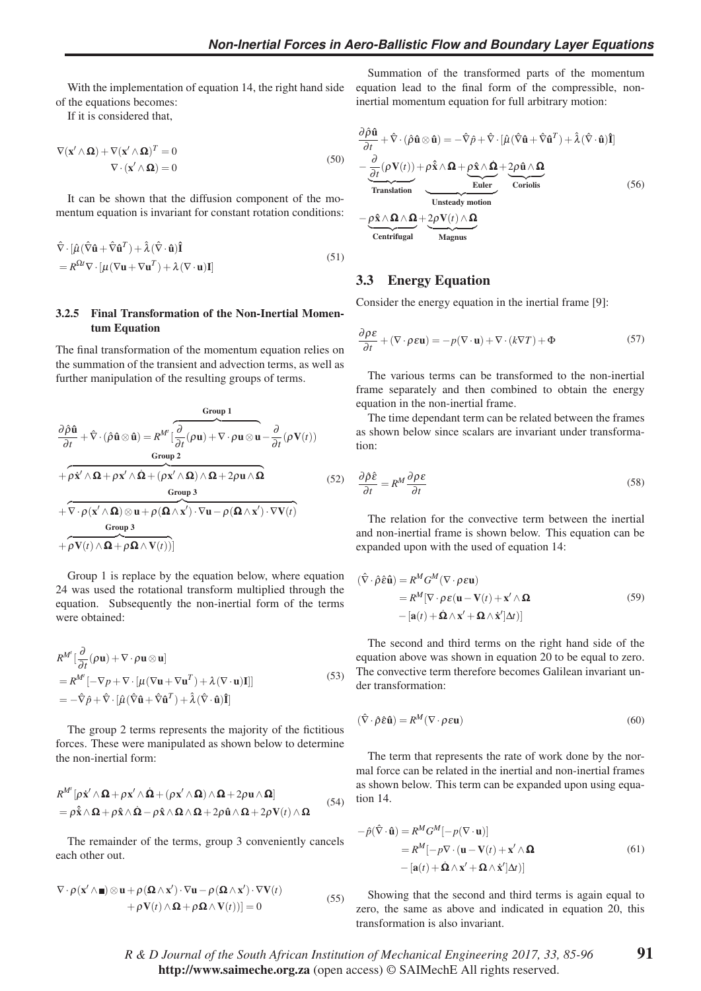With the implementation of equation 14, the right hand side of the equations becomes:

If it is considered that,

$$
\nabla(\mathbf{x}' \wedge \mathbf{\Omega}) + \nabla(\mathbf{x}' \wedge \mathbf{\Omega})^T = 0
$$
  
 
$$
\nabla \cdot (\mathbf{x}' \wedge \mathbf{\Omega}) = 0
$$
 (50)

It can be shown that the diffusion component of the momentum equation is invariant for constant rotation conditions:

$$
\hat{\nabla} \cdot [\hat{\mu} (\hat{\nabla} \hat{\mathbf{u}} + \hat{\nabla} \hat{\mathbf{u}}^T) + \hat{\lambda} (\hat{\nabla} \cdot \hat{\mathbf{u}}) \hat{\mathbf{I}} \n= R^{\Omega t} \nabla \cdot [\mu (\nabla \mathbf{u} + \nabla \mathbf{u}^T) + \lambda (\nabla \cdot \mathbf{u}) \mathbf{I}]
$$
\n(51)

#### 3.2.5 Final Transformation of the Non-Inertial Momentum Equation

The final transformation of the momentum equation relies on the summation of the transient and advection terms, as well as further manipulation of the resulting groups of terms.

Group 1  
\n
$$
\frac{\partial \hat{\rho} \hat{\mathbf{u}}}{\partial t} + \hat{\nabla} \cdot (\hat{\rho} \hat{\mathbf{u}} \otimes \hat{\mathbf{u}}) = R^{M'} \left[ \frac{\partial}{\partial t} (\rho \mathbf{u}) + \nabla \cdot \rho \mathbf{u} \otimes \mathbf{u} - \frac{\partial}{\partial t} (\rho \mathbf{V}(t)) \right]
$$
\nGroup 2  
\n
$$
+ \rho \dot{\mathbf{x}}' \wedge \mathbf{\Omega} + \rho \mathbf{x}' \wedge \mathbf{\Omega} + (\rho \mathbf{x}' \wedge \mathbf{\Omega}) \wedge \mathbf{\Omega} + 2\rho \mathbf{u} \wedge \mathbf{\Omega}
$$
\nGroup 3  
\n
$$
+ \nabla \cdot \rho (\mathbf{x}' \wedge \mathbf{\Omega}) \otimes \mathbf{u} + \rho (\mathbf{\Omega} \wedge \mathbf{x}') \cdot \nabla \mathbf{u} - \rho (\mathbf{\Omega} \wedge \mathbf{x}') \cdot \nabla \mathbf{V}(t)
$$
\nGroup 3  
\n
$$
+ \rho \mathbf{V}(t) \wedge \mathbf{\Omega} + \rho \mathbf{\Omega} \wedge \mathbf{V}(t))
$$
\n(52)

Group 1 is replace by the equation below, where equation 24 was used the rotational transform multiplied through the equation. Subsequently the non-inertial form of the terms were obtained:

$$
R^{M'}\left[\frac{\partial}{\partial t}(\rho \mathbf{u}) + \nabla \cdot \rho \mathbf{u} \otimes \mathbf{u}\right]
$$
  
=  $R^{M'}\left[-\nabla p + \nabla \cdot \left[\mu (\nabla \mathbf{u} + \nabla \mathbf{u}^T) + \lambda (\nabla \cdot \mathbf{u})\mathbf{I}\right]\right]$   
=  $-\hat{\nabla}\hat{p} + \hat{\nabla} \cdot \left[\hat{\mu}(\hat{\nabla}\hat{\mathbf{u}} + \hat{\nabla}\hat{\mathbf{u}}^T) + \hat{\lambda}(\hat{\nabla} \cdot \hat{\mathbf{u}})\hat{\mathbf{I}}\right]$  (53)

The group 2 terms represents the majority of the fictitious forces. These were manipulated as shown below to determine the non-inertial form:

$$
R^{M'}[\rho \dot{\mathbf{x}}' \wedge \mathbf{\Omega} + \rho \mathbf{x}' \wedge \dot{\mathbf{\Omega}} + (\rho \mathbf{x}' \wedge \mathbf{\Omega}) \wedge \mathbf{\Omega} + 2\rho \mathbf{u} \wedge \mathbf{\Omega}]
$$
  
=  $\rho \hat{\mathbf{x}} \wedge \mathbf{\Omega} + \rho \hat{\mathbf{x}} \wedge \dot{\mathbf{\Omega}} - \rho \hat{\mathbf{x}} \wedge \mathbf{\Omega} \wedge \mathbf{\Omega} + 2\rho \hat{\mathbf{u}} \wedge \mathbf{\Omega} + 2\rho \mathbf{V}(t) \wedge \mathbf{\Omega}$  (54)

The remainder of the terms, group 3 conveniently cancels each other out.

$$
\nabla \cdot \rho(\mathbf{x}' \wedge \mathbf{m}) \otimes \mathbf{u} + \rho(\mathbf{\Omega} \wedge \mathbf{x}') \cdot \nabla \mathbf{u} - \rho(\mathbf{\Omega} \wedge \mathbf{x}') \cdot \nabla \mathbf{V}(t) + \rho \mathbf{V}(t) \wedge \mathbf{\Omega} + \rho \mathbf{\Omega} \wedge \mathbf{V}(t))] = 0
$$
\n(55)

Summation of the transformed parts of the momentum equation lead to the final form of the compressible, noninertial momentum equation for full arbitrary motion:

$$
\frac{\partial \hat{\rho} \hat{\mathbf{u}}}{\partial t} + \hat{\nabla} \cdot (\hat{\rho} \hat{\mathbf{u}} \otimes \hat{\mathbf{u}}) = -\hat{\nabla} \hat{\rho} + \hat{\nabla} \cdot [\hat{\mu} (\hat{\nabla} \hat{\mathbf{u}} + \hat{\nabla} \hat{\mathbf{u}}^T) + \hat{\lambda} (\hat{\nabla} \cdot \hat{\mathbf{u}}) \hat{\mathbf{I}}] \n- \underbrace{\frac{\partial}{\partial t} (\rho \mathbf{V}(t))}{\frac{\partial}{\partial t} + \rho \hat{\mathbf{x}} \wedge \mathbf{\Omega} + \rho \hat{\mathbf{x}} \wedge \mathbf{\Omega} + 2\rho \hat{\mathbf{u}} \wedge \mathbf{\Omega} \wedge \mathbf{\Omega} \wedge \mathbf{\Omega} \wedge \mathbf{\Omega} \wedge \mathbf{\Omega} \wedge \mathbf{\Omega} \wedge \mathbf{\Omega} \wedge \mathbf{\Omega} \wedge \mathbf{\Omega} \wedge \mathbf{\Omega} \wedge \mathbf{\Omega} \wedge \mathbf{\Omega} \wedge \mathbf{\Omega} \wedge \mathbf{\Omega} \wedge \mathbf{\Omega} \wedge \mathbf{\Omega} \wedge \mathbf{\Omega} \wedge \mathbf{\Omega} \wedge \mathbf{\Omega} \wedge \mathbf{\Omega} \wedge \mathbf{\Omega} \wedge \mathbf{\Omega} \wedge \mathbf{\Omega} \wedge \mathbf{\Omega} \wedge \mathbf{\Omega} \wedge \mathbf{\Omega} \wedge \mathbf{\Omega} \wedge \mathbf{\Omega} \wedge \mathbf{\Omega} \wedge \mathbf{\Omega} \wedge \mathbf{\Omega} \wedge \mathbf{\Omega} \wedge \mathbf{\Omega} \wedge \mathbf{\Omega} \wedge \mathbf{\Omega} \wedge \mathbf{\Omega} \wedge \mathbf{\Omega} \wedge \mathbf{\Omega} \wedge \mathbf{\Omega} \wedge \mathbf{\Omega} \wedge \mathbf{\Omega} \wedge \mathbf{\Omega} \wedge \mathbf{\Omega} \wedge \mathbf{\Omega} \wedge \mathbf{\Omega} \wedge \mathbf{\Omega} \wedge \mathbf{\Omega} \wedge \mathbf{\Omega} \wedge \mathbf{\Omega} \wedge \mathbf{\Omega} \wedge \mathbf{\Omega} \wedge \mathbf{\Omega} \wedge \mathbf{\Omega} \wedge \mathbf{\Omega} \wedge \mathbf{\Omega} \wedge \mathbf{\Omega} \wedge \mathbf{\Omega} \wedge \mathbf
$$

# 3.3 Energy Equation

Consider the energy equation in the inertial frame [9]:

$$
\frac{\partial \rho \varepsilon}{\partial t} + (\nabla \cdot \rho \varepsilon \mathbf{u}) = -p(\nabla \cdot \mathbf{u}) + \nabla \cdot (k \nabla T) + \Phi \tag{57}
$$

The various terms can be transformed to the non-inertial frame separately and then combined to obtain the energy equation in the non-inertial frame.

The time dependant term can be related between the frames as shown below since scalars are invariant under transformation:

$$
\frac{\partial \hat{\rho}\hat{\varepsilon}}{\partial t} = R^M \frac{\partial \rho \varepsilon}{\partial t}
$$
\n(58)

The relation for the convective term between the inertial and non-inertial frame is shown below. This equation can be expanded upon with the used of equation 14:

$$
(\hat{\nabla} \cdot \hat{\rho} \hat{\varepsilon} \hat{\mathbf{u}}) = R^M G^M (\nabla \cdot \rho \varepsilon \mathbf{u})
$$
  
=  $R^M [\nabla \cdot \rho \varepsilon (\mathbf{u} - \mathbf{V}(t) + \mathbf{x}' \wedge \mathbf{\Omega} - [\mathbf{a}(t) + \mathbf{\Omega} \wedge \mathbf{x}' + \mathbf{\Omega} \wedge \mathbf{x}'] \Delta t)]$  (59)

The second and third terms on the right hand side of the equation above was shown in equation 20 to be equal to zero. The convective term therefore becomes Galilean invariant under transformation:

$$
(\hat{\nabla} \cdot \hat{\rho} \hat{\boldsymbol{\epsilon}} \hat{\mathbf{u}}) = R^M (\nabla \cdot \rho \boldsymbol{\epsilon} \mathbf{u})
$$
\n(60)

The term that represents the rate of work done by the normal force can be related in the inertial and non-inertial frames as shown below. This term can be expanded upon using equation 14.

$$
-\hat{p}(\hat{\nabla} \cdot \hat{\mathbf{u}}) = R^M G^M [-p(\nabla \cdot \mathbf{u})]
$$
  
=  $R^M [-p\nabla \cdot (\mathbf{u} - \mathbf{V}(t) + \mathbf{x}' \wedge \mathbf{\Omega} - [\mathbf{a}(t) + \mathbf{\Omega} \wedge \mathbf{x}' + \mathbf{\Omega} \wedge \mathbf{x}'] \Delta t)]$  (61)

Showing that the second and third terms is again equal to zero, the same as above and indicated in equation 20, this transformation is also invariant.

91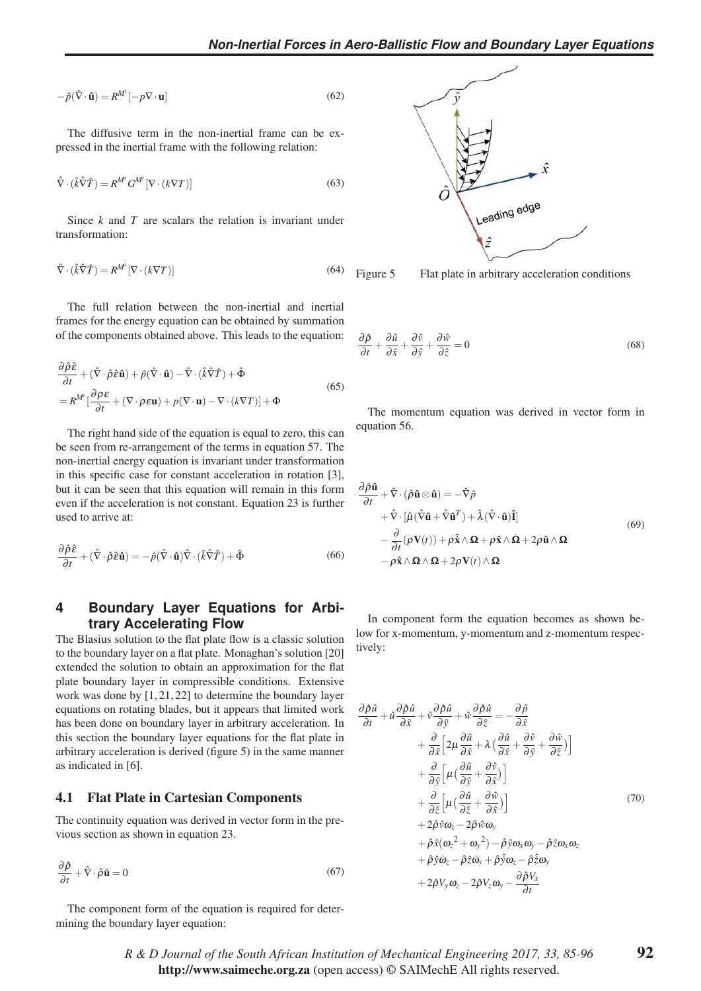$$
-\hat{p}(\hat{\nabla} \cdot \hat{\mathbf{u}}) = R^{M'}[-p \nabla \cdot \mathbf{u}]
$$
\n(62)

The diffusive term in the non-inertial frame can be expressed in the inertial frame with the following relation:

$$
\hat{\nabla} \cdot (\hat{k}\hat{\nabla}\hat{T}) = R^{M'} G^{M'} [\nabla \cdot (k\nabla T)] \tag{63}
$$

Since *k* and *T* are scalars the relation is invariant under transformation:

$$
\hat{\nabla} \cdot (\hat{k}\hat{\nabla}\hat{T}) = R^{M'} \left[ \nabla \cdot (k\nabla T) \right] \tag{64}
$$

The full relation between the non-inertial and inertial frames for the energy equation can be obtained by summation of the components obtained above. This leads to the equation:

$$
\frac{\partial \hat{\rho}\hat{\epsilon}}{\partial t} + (\hat{\nabla} \cdot \hat{\rho}\hat{\epsilon}\hat{\mathbf{u}}) + \hat{p}(\hat{\nabla} \cdot \hat{\mathbf{u}}) - \hat{\nabla} \cdot (\hat{k}\hat{\nabla}\hat{T}) + \hat{\Phi}
$$
\n
$$
= R^{M'} \left[ \frac{\partial \rho \epsilon}{\partial t} + (\nabla \cdot \rho \epsilon \mathbf{u}) + p(\nabla \cdot \mathbf{u}) - \nabla \cdot (k\nabla T) \right] + \Phi
$$
\n(65)

The right hand side of the equation is equal to zero, this can be seen from re-arrangement of the terms in equation 57. The non-inertial energy equation is invariant under transformation in this specific case for constant acceleration in rotation [3], but it can be seen that this equation will remain in this form even if the acceleration is not constant. Equation 23 is further used to arrive at:

$$
\frac{\partial \hat{\rho}\hat{\varepsilon}}{\partial t} + (\hat{\nabla} \cdot \hat{\rho}\hat{\varepsilon}\hat{\mathbf{u}}) = -\hat{\rho}(\hat{\nabla} \cdot \hat{\mathbf{u}})\hat{\nabla} \cdot (\hat{k}\hat{\nabla}\hat{T}) + \hat{\Phi}
$$
(66)

# **4 Boundary Layer Equations for Arbitrary Accelerating Flow**

The Blasius solution to the flat plate flow is a classic solution to the boundary layer on a flat plate. Monaghan's solution [20] extended the solution to obtain an approximation for the flat plate boundary layer in compressible conditions. Extensive work was done by [1, 21, 22] to determine the boundary layer equations on rotating blades, but it appears that limited work has been done on boundary layer in arbitrary acceleration. In this section the boundary layer equations for the flat plate in arbitrary acceleration is derived (figure 5) in the same manner as indicated in [6].

#### 4.1 Flat Plate in Cartesian Components

The continuity equation was derived in vector form in the previous section as shown in equation 23.

$$
\frac{\partial \hat{\rho}}{\partial t} + \hat{\nabla} \cdot \hat{\rho} \hat{\mathbf{u}} = 0 \tag{67}
$$

The component form of the equation is required for determining the boundary layer equation:



Figure 5

$$
\frac{\partial \hat{\rho}}{\partial t} + \frac{\partial \hat{u}}{\partial \hat{x}} + \frac{\partial \hat{v}}{\partial \hat{y}} + \frac{\partial \hat{w}}{\partial \hat{z}} = 0
$$
 (68)

The momentum equation was derived in vector form in equation 56.

$$
\frac{\partial \hat{\rho} \hat{\mathbf{u}}}{\partial t} + \hat{\nabla} \cdot (\hat{\rho} \hat{\mathbf{u}} \otimes \hat{\mathbf{u}}) = -\hat{\nabla} \hat{\rho} \n+ \hat{\nabla} \cdot [\hat{\mu} (\hat{\nabla} \hat{\mathbf{u}} + \hat{\nabla} \hat{\mathbf{u}}^T) + \hat{\lambda} (\hat{\nabla} \cdot \hat{\mathbf{u}}) \hat{\mathbf{I}}] \n- \frac{\partial}{\partial t} (\rho \mathbf{V}(t)) + \rho \hat{\mathbf{x}} \wedge \mathbf{\Omega} + \rho \hat{\mathbf{x}} \wedge \hat{\mathbf{\Omega}} + 2\rho \hat{\mathbf{u}} \wedge \mathbf{\Omega} \n- \rho \hat{\mathbf{x}} \wedge \mathbf{\Omega} \wedge \mathbf{\Omega} + 2\rho \mathbf{V}(t) \wedge \mathbf{\Omega}
$$
\n(69)

In component form the equation becomes as shown below for x-momentum, y-momentum and z-momentum respectively:

$$
\frac{\partial \hat{\rho}\hat{u}}{\partial t} + \hat{u}\frac{\partial \hat{\rho}\hat{u}}{\partial \hat{x}} + \hat{v}\frac{\partial \hat{\rho}\hat{u}}{\partial \hat{y}} + \hat{w}\frac{\partial \hat{\rho}\hat{u}}{\partial \hat{z}} = -\frac{\partial \hat{\rho}}{\partial \hat{x}} \n+ \frac{\partial}{\partial \hat{x}} \Big[ 2\mu \frac{\partial \hat{u}}{\partial \hat{x}} + \lambda \Big( \frac{\partial \hat{u}}{\partial \hat{x}} + \frac{\partial \hat{v}}{\partial \hat{y}} + \frac{\partial \hat{w}}{\partial \hat{z}} \Big) \Big] \n+ \frac{\partial}{\partial \hat{y}} \Big[ \mu \Big( \frac{\partial \hat{u}}{\partial \hat{y}} + \frac{\partial \hat{v}}{\partial \hat{x}} \Big) \Big] \n+ \frac{\partial}{\partial \hat{z}} \Big[ \mu \Big( \frac{\partial \hat{u}}{\partial \hat{z}} + \frac{\partial \hat{w}}{\partial \hat{x}} \Big) \Big] \n+ 2\hat{\rho}\hat{v}\omega_z - 2\hat{\rho}\hat{w}\omega_y \n+ \hat{\rho}\hat{x}(\omega_z^2 + \omega_y^2) - \hat{\rho}\hat{y}\omega_x\omega_y - \hat{\rho}\hat{z}\omega_x\omega_z \n+ \hat{\rho}\hat{y}\omega_z - \hat{\rho}\hat{z}\omega_y + \hat{\rho}\hat{y}\omega_z - \hat{\rho}\hat{z}\omega_y \n+ 2\hat{\rho}V_y\omega_z - 2\hat{\rho}V_z\omega_y - \frac{\partial \hat{\rho}V_x}{\partial t}
$$
\n(70)

# *R&DJournal of the South African Institution of Mechanical Engineering 2017, 33, 85-96* http://www.saimeche.org.za (open access) © SAIMechE All rights reserved.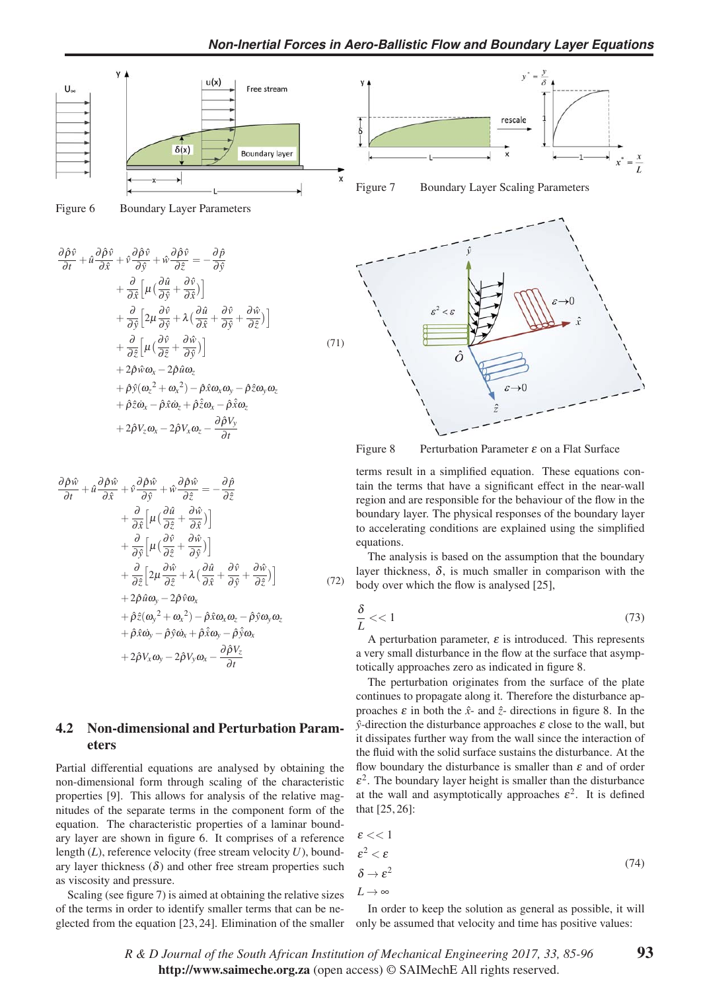



Figure 6 Boundary Layer Parameters

$$
\frac{\partial \hat{\rho}\hat{v}}{\partial t} + \hat{u}\frac{\partial \hat{\rho}\hat{v}}{\partial \hat{x}} + \hat{v}\frac{\partial \hat{\rho}\hat{v}}{\partial \hat{y}} + \hat{w}\frac{\partial \hat{\rho}\hat{v}}{\partial \hat{z}} = -\frac{\partial \hat{\rho}}{\partial \hat{y}} \n+ \frac{\partial}{\partial \hat{x}}\left[\mu\left(\frac{\partial \hat{u}}{\partial \hat{y}} + \frac{\partial \hat{v}}{\partial \hat{x}}\right)\right] \n+ \frac{\partial}{\partial \hat{y}}\left[2\mu\frac{\partial \hat{v}}{\partial \hat{y}} + \lambda\left(\frac{\partial \hat{u}}{\partial \hat{x}} + \frac{\partial \hat{v}}{\partial \hat{y}} + \frac{\partial \hat{w}}{\partial \hat{z}}\right)\right] \n+ \frac{\partial}{\partial \hat{z}}\left[\mu\left(\frac{\partial \hat{v}}{\partial \hat{z}} + \frac{\partial \hat{w}}{\partial \hat{y}}\right)\right] \n+ 2\hat{\rho}\hat{w}\omega_x - 2\hat{\rho}\hat{u}\omega_z \n+ \hat{\rho}\hat{y}(\omega_z^2 + \omega_x^2) - \hat{\rho}\hat{x}\omega_x\omega_y - \hat{\rho}\hat{z}\omega_y\omega_z \n+ \hat{\rho}\hat{z}\omega_x - \hat{\rho}\hat{x}\omega_z + \hat{\rho}\hat{z}\omega_x - \hat{\rho}\hat{x}\omega_z \n+ 2\hat{\rho}V_z\omega_x - 2\hat{\rho}V_x\omega_z - \frac{\partial \hat{\rho}V_y}{\partial t}
$$
\n(71)

$$
\frac{\partial \hat{\rho}\hat{w}}{\partial t} + \hat{u}\frac{\partial \hat{\rho}\hat{w}}{\partial \hat{x}} + \hat{v}\frac{\partial \hat{\rho}\hat{w}}{\partial \hat{y}} + \hat{w}\frac{\partial \hat{\rho}\hat{w}}{\partial \hat{z}} = -\frac{\partial \hat{\rho}}{\partial \hat{z}} \n+ \frac{\partial}{\partial \hat{x}}\Big[\mu\big(\frac{\partial \hat{u}}{\partial \hat{z}} + \frac{\partial \hat{w}}{\partial \hat{x}}\big)\Big] \n+ \frac{\partial}{\partial \hat{y}}\Big[\mu\big(\frac{\partial \hat{v}}{\partial \hat{z}} + \frac{\partial \hat{w}}{\partial \hat{y}}\big)\Big] \n+ \frac{\partial}{\partial \hat{z}}\Big[2\mu\frac{\partial \hat{w}}{\partial \hat{z}} + \lambda\big(\frac{\partial \hat{u}}{\partial \hat{x}} + \frac{\partial \hat{v}}{\partial \hat{y}} + \frac{\partial \hat{w}}{\partial \hat{z}}\big)\Big] \n+ 2\hat{\rho}\hat{u}\omega_y - 2\hat{\rho}\hat{v}\omega_x \n+ \hat{\rho}\hat{z}(\omega_y^2 + \omega_x^2) - \hat{\rho}\hat{x}\omega_x\omega_z - \hat{\rho}\hat{y}\omega_y\omega_z \n+ \hat{\rho}\hat{x}\omega_y - \hat{\rho}\hat{y}\omega_x + \hat{\rho}\hat{x}\omega_y - \hat{\rho}\hat{y}\omega_x \n+ 2\hat{\rho}V_x\omega_y - 2\hat{\rho}V_y\omega_x - \frac{\partial \hat{\rho}V_z}{\partial t}
$$

# 4.2 Non-dimensional and Perturbation Parameters

Partial differential equations are analysed by obtaining the non-dimensional form through scaling of the characteristic properties [9]. This allows for analysis of the relative magnitudes of the separate terms in the component form of the equation. The characteristic properties of a laminar boundary layer are shown in figure 6. It comprises of a reference length (*L*), reference velocity (free stream velocity *U*), boundary layer thickness  $(\delta)$  and other free stream properties such as viscosity and pressure.

Scaling (see figure 7) is aimed at obtaining the relative sizes of the terms in order to identify smaller terms that can be neglected from the equation [23, 24]. Elimination of the smaller







Figure 8 Perturbation Parameter  $\varepsilon$  on a Flat Surface

terms result in a simplified equation. These equations contain the terms that have a significant effect in the near-wall region and are responsible for the behaviour of the flow in the boundary layer. The physical responses of the boundary layer to accelerating conditions are explained using the simplified equations.

The analysis is based on the assumption that the boundary layer thickness,  $\delta$ , is much smaller in comparison with the body over which the flow is analysed [25],

$$
\frac{\delta}{L} << 1\tag{73}
$$

A perturbation parameter,  $\varepsilon$  is introduced. This represents a very small disturbance in the flow at the surface that asymptotically approaches zero as indicated in figure 8.

The perturbation originates from the surface of the plate continues to propagate along it. Therefore the disturbance approaches  $\varepsilon$  in both the  $\hat{x}$ - and  $\hat{z}$ - directions in figure 8. In the  $\hat{y}$ -direction the disturbance approaches  $\varepsilon$  close to the wall, but it dissipates further way from the wall since the interaction of the fluid with the solid surface sustains the disturbance. At the flow boundary the disturbance is smaller than  $\varepsilon$  and of order  $\varepsilon^2$ . The boundary layer height is smaller than the disturbance at the wall and asymptotically approaches  $\varepsilon^2$ . It is defined that [25, 26]:

$$
\varepsilon << 1 \\
\varepsilon^2 < \varepsilon \\
\delta >> \varepsilon^2 \\
L \to \infty
$$
\n(74)

In order to keep the solution as general as possible, it will only be assumed that velocity and time has positive values:

*R&DJournal of the South African Institution of Mechanical Engineering 2017, 33, 85-96* http://www.saimeche.org.za (open access) © SAIMechE All rights reserved.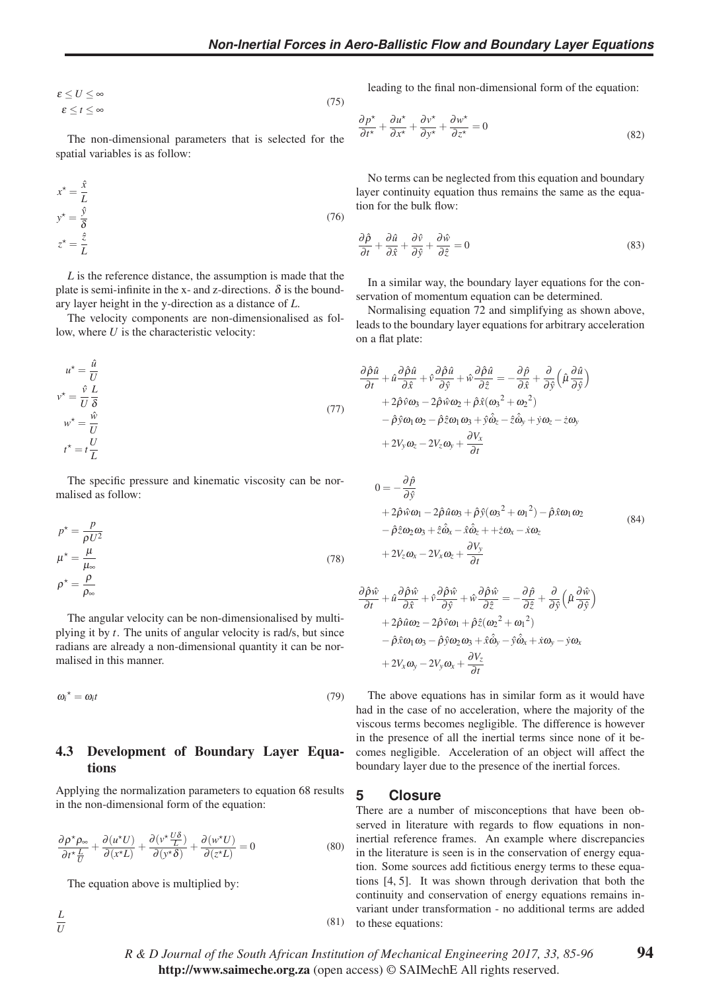$$
\varepsilon \le U \le \infty \n\varepsilon \le t \le \infty
$$
\n(75)

The non-dimensional parameters that is selected for the spatial variables is as follow:

$$
x^* = \frac{\hat{x}}{L}
$$
  
\n
$$
y^* = \frac{\hat{y}}{\delta}
$$
  
\n
$$
z^* = \frac{\hat{z}}{L}
$$
\n(76)

*L* is the reference distance, the assumption is made that the plate is semi-infinite in the x- and z-directions.  $\delta$  is the boundary layer height in the y-direction as a distance of *L*.

The velocity components are non-dimensionalised as follow, where *U* is the characteristic velocity:

$$
u^* = \frac{\hat{u}}{U}
$$
  
\n
$$
v^* = \frac{\hat{v}}{U} \frac{L}{\delta}
$$
  
\n
$$
w^* = \frac{\hat{w}}{U}
$$
  
\n
$$
t^* = t \frac{U}{L}
$$
\n(77)

The specific pressure and kinematic viscosity can be normalised as follow:

$$
p^* = \frac{p}{\rho U^2}
$$
  

$$
\mu^* = \frac{\mu}{\mu_{\infty}}
$$
  

$$
\rho^* = \frac{\rho}{\rho_{\infty}}
$$
 (78)

The angular velocity can be non-dimensionalised by multiplying it by *t*. The units of angular velocity is rad/s, but since radians are already a non-dimensional quantity it can be normalised in this manner.

$$
\omega_i^{\star} = \omega_i t \tag{79}
$$

# 4.3 Development of Boundary Layer Equations

Applying the normalization parameters to equation 68 results in the non-dimensional form of the equation:

$$
\frac{\partial \rho^* \rho_\infty}{\partial t^* \frac{L}{U}} + \frac{\partial (u^* U)}{\partial (x^* L)} + \frac{\partial (v^* \frac{U \delta}{L})}{\partial (y^* \delta)} + \frac{\partial (w^* U)}{\partial (z^* L)} = 0
$$
\n(80)

The equation above is multiplied by:

$$
\frac{L}{U} \tag{81}
$$

leading to the final non-dimensional form of the equation:

$$
\frac{\partial p^{\star}}{\partial t^{\star}} + \frac{\partial u^{\star}}{\partial x^{\star}} + \frac{\partial v^{\star}}{\partial y^{\star}} + \frac{\partial w^{\star}}{\partial z^{\star}} = 0
$$
\n(82)

No terms can be neglected from this equation and boundary layer continuity equation thus remains the same as the equation for the bulk flow:

$$
\frac{\partial \hat{\rho}}{\partial t} + \frac{\partial \hat{u}}{\partial \hat{x}} + \frac{\partial \hat{v}}{\partial \hat{y}} + \frac{\partial \hat{w}}{\partial \hat{z}} = 0
$$
\n(83)

In a similar way, the boundary layer equations for the conservation of momentum equation can be determined.

Normalising equation 72 and simplifying as shown above, leads to the boundary layer equations for arbitrary acceleration on a flat plate:

$$
\frac{\partial \hat{\rho}\hat{u}}{\partial t} + \hat{u}\frac{\partial \hat{\rho}\hat{u}}{\partial \hat{x}} + \hat{v}\frac{\partial \hat{\rho}\hat{u}}{\partial \hat{y}} + \hat{w}\frac{\partial \hat{\rho}\hat{u}}{\partial \hat{z}} = -\frac{\partial \hat{\rho}}{\partial \hat{x}} + \frac{\partial}{\partial \hat{y}} \left(\hat{\mu}\frac{\partial \hat{u}}{\partial \hat{y}}\right) \n+ 2\hat{\rho}\hat{v}\omega_3 - 2\hat{\rho}\hat{w}\omega_2 + \hat{\rho}\hat{x}(\omega_3^2 + \omega_2^2) \n- \hat{\rho}\hat{y}\omega_1\omega_2 - \hat{\rho}\hat{z}\omega_1\omega_3 + \hat{y}\hat{\omega}_z - \hat{z}\hat{\omega}_y + \hat{y}\omega_z - \hat{z}\omega_y \n+ 2V_y\omega_z - 2V_z\omega_y + \frac{\partial V_x}{\partial t}
$$

$$
0 = -\frac{\partial \hat{p}}{\partial \hat{y}}+ 2\hat{\rho}\hat{w}\omega_1 - 2\hat{\rho}\hat{u}\omega_3 + \hat{\rho}\hat{y}(\omega_3^2 + \omega_1^2) - \hat{\rho}\hat{x}\omega_1\omega_2- \hat{\rho}\hat{z}\omega_2\omega_3 + \hat{z}\hat{\omega}_x - \hat{x}\hat{\omega}_z + +\hat{z}\omega_x - \hat{x}\omega_z+ 2V_z\omega_x - 2V_x\omega_z + \frac{\partial V_y}{\partial t}
$$
(84)

$$
\frac{\partial \hat{\rho}\hat{w}}{\partial t} + \hat{u}\frac{\partial \hat{\rho}\hat{w}}{\partial \hat{x}} + \hat{v}\frac{\partial \hat{\rho}\hat{w}}{\partial \hat{y}} + \hat{w}\frac{\partial \hat{\rho}\hat{w}}{\partial \hat{z}} = -\frac{\partial \hat{\rho}}{\partial \hat{z}} + \frac{\partial}{\partial \hat{y}}\left(\hat{\mu}\frac{\partial \hat{w}}{\partial \hat{y}}\right) \n+ 2\hat{\rho}\hat{u}\omega_2 - 2\hat{\rho}\hat{v}\omega_1 + \hat{\rho}\hat{z}(\omega_2^2 + \omega_1^2) \n- \hat{\rho}\hat{x}\omega_1\omega_3 - \hat{\rho}\hat{y}\omega_2\omega_3 + \hat{x}\hat{\omega}_y - \hat{y}\hat{\omega}_x + \hat{x}\omega_y - \hat{y}\omega_x \n+ 2V_x\omega_y - 2V_y\omega_x + \frac{\partial V_z}{\partial t}
$$

The above equations has in similar form as it would have had in the case of no acceleration, where the majority of the viscous terms becomes negligible. The difference is however in the presence of all the inertial terms since none of it becomes negligible. Acceleration of an object will affect the boundary layer due to the presence of the inertial forces.

# **5 Closure**

There are a number of misconceptions that have been observed in literature with regards to flow equations in noninertial reference frames. An example where discrepancies in the literature is seen is in the conservation of energy equation. Some sources add fictitious energy terms to these equations [4, 5]. It was shown through derivation that both the continuity and conservation of energy equations remains invariant under transformation - no additional terms are added  $(81)$  to these equations: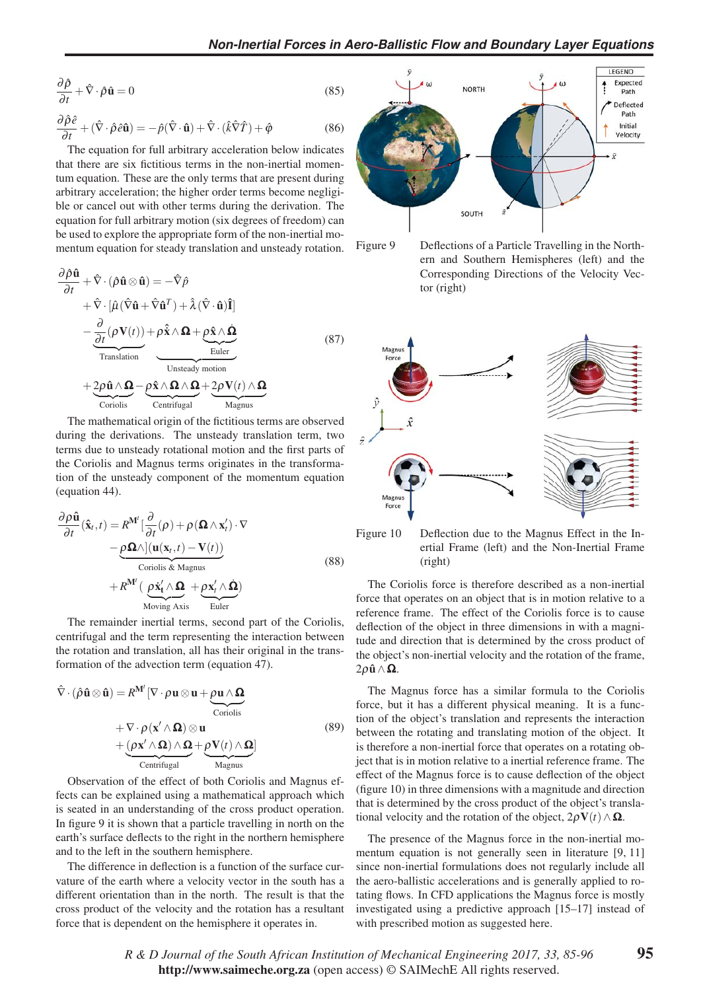$$
\frac{\partial \hat{\rho}}{\partial t} + \hat{\nabla} \cdot \hat{\rho} \hat{\mathbf{u}} = 0
$$
 (85)

$$
\frac{\partial \hat{\rho}\hat{e}}{\partial t} + (\hat{\nabla}\cdot\hat{\rho}\hat{e}\hat{\mathbf{u}}) = -\hat{p}(\hat{\nabla}\cdot\hat{\mathbf{u}}) + \hat{\nabla}\cdot(\hat{k}\hat{\nabla}\hat{T}) + \hat{\varphi}
$$
(86)

The equation for full arbitrary acceleration below indicates that there are six fictitious terms in the non-inertial momentum equation. These are the only terms that are present during arbitrary acceleration; the higher order terms become negligible or cancel out with other terms during the derivation. The equation for full arbitrary motion (six degrees of freedom) can be used to explore the appropriate form of the non-inertial momentum equation for steady translation and unsteady rotation.

$$
\frac{\partial \hat{\rho} \hat{\mathbf{u}}}{\partial t} + \hat{\nabla} \cdot (\hat{\rho} \hat{\mathbf{u}} \otimes \hat{\mathbf{u}}) = -\hat{\nabla} \hat{\rho} \n+ \hat{\nabla} \cdot [\hat{\mu} (\hat{\nabla} \hat{\mathbf{u}} + \hat{\nabla} \hat{\mathbf{u}}^T) + \hat{\lambda} (\hat{\nabla} \cdot \hat{\mathbf{u}}) \hat{\mathbf{I}}] \n- \underbrace{\frac{\partial}{\partial t} (\rho \mathbf{V}(t))}{\frac{\partial}{\partial t} + \rho \hat{\mathbf{x}} \wedge \mathbf{\Omega} + \rho \hat{\mathbf{x}} \wedge \mathbf{\Omega} + \rho \hat{\mathbf{x}} \wedge \mathbf{\Omega} \wedge \mathbf{\Omega} + \frac{\mathbf{\Omega}}{\text{Euler}}}_{\text{Unsteady motion}} \n+ \underbrace{2 \rho \hat{\mathbf{u}} \wedge \mathbf{\Omega} - \rho \hat{\mathbf{x}} \wedge \mathbf{\Omega} \wedge \mathbf{\Omega} + 2 \rho \mathbf{V}(t) \wedge \mathbf{\Omega} \wedge \mathbf{\Omega} + \text{Coriolis} \wedge \text{Centrifugal}
$$
\n(87)

The mathematical origin of the fictitious terms are observed during the derivations. The unsteady translation term, two terms due to unsteady rotational motion and the first parts of the Coriolis and Magnus terms originates in the transformation of the unsteady component of the momentum equation (equation 44).

$$
\frac{\partial \rho \hat{\mathbf{u}}}{\partial t}(\hat{\mathbf{x}}_t, t) = R^{\mathbf{M}'} \left[ \frac{\partial}{\partial t} (\rho) + \rho (\mathbf{\Omega} \wedge \mathbf{x}'_t) \cdot \nabla \right.\n- \underbrace{\rho \mathbf{\Omega} \wedge \left[ (\mathbf{u}(\mathbf{x}_t, t) - \mathbf{V}(t) \right)}_{\text{Coriolis & Magnus}}\n+ R^{\mathbf{M}'} \left( \underbrace{\rho \dot{\mathbf{x}}'_t \wedge \mathbf{\Omega}}_{\text{Moving Axis}} + \underbrace{\rho \mathbf{x}'_t \wedge \mathbf{\Omega}}_{\text{Euler}} \right)
$$
\n(88)

The remainder inertial terms, second part of the Coriolis, centrifugal and the term representing the interaction between the rotation and translation, all has their original in the transformation of the advection term (equation 47).

$$
\hat{\nabla} \cdot (\hat{\rho} \hat{\mathbf{u}} \otimes \hat{\mathbf{u}}) = R^{\mathbf{M}'} [\nabla \cdot \rho \mathbf{u} \otimes \mathbf{u} + \underbrace{\rho \mathbf{u} \wedge \Omega}_{\text{Coriolis}} \n+ \nabla \cdot \rho (\mathbf{x}' \wedge \Omega) \otimes \mathbf{u} \n+ \underbrace{(\rho \mathbf{x}' \wedge \Omega) \wedge \Omega}_{\text{Centrifugal}} + \underbrace{\rho \mathbf{V}(t) \wedge \Omega}_{\text{Magnus}}]
$$
\n(89)

Observation of the effect of both Coriolis and Magnus effects can be explained using a mathematical approach which is seated in an understanding of the cross product operation. In figure 9 it is shown that a particle travelling in north on the earth's surface deflects to the right in the northern hemisphere and to the left in the southern hemisphere.

The difference in deflection is a function of the surface curvature of the earth where a velocity vector in the south has a different orientation than in the north. The result is that the cross product of the velocity and the rotation has a resultant force that is dependent on the hemisphere it operates in.







Figure 10 Deflection due to the Magnus Effect in the Inertial Frame (left) and the Non-Inertial Frame (right)

The Coriolis force is therefore described as a non-inertial force that operates on an object that is in motion relative to a reference frame. The effect of the Coriolis force is to cause deflection of the object in three dimensions in with a magnitude and direction that is determined by the cross product of the object's non-inertial velocity and the rotation of the frame,  $2\rho \hat{\mathbf{u}} \wedge \mathbf{\Omega}$ .

The Magnus force has a similar formula to the Coriolis force, but it has a different physical meaning. It is a function of the object's translation and represents the interaction between the rotating and translating motion of the object. It is therefore a non-inertial force that operates on a rotating object that is in motion relative to a inertial reference frame. The effect of the Magnus force is to cause deflection of the object (figure 10) in three dimensions with a magnitude and direction that is determined by the cross product of the object's translational velocity and the rotation of the object,  $2\rho \mathbf{V}(t) \wedge \mathbf{\Omega}$ .

The presence of the Magnus force in the non-inertial momentum equation is not generally seen in literature [9, 11] since non-inertial formulations does not regularly include all the aero-ballistic accelerations and is generally applied to rotating flows. In CFD applications the Magnus force is mostly investigated using a predictive approach [15–17] instead of with prescribed motion as suggested here.